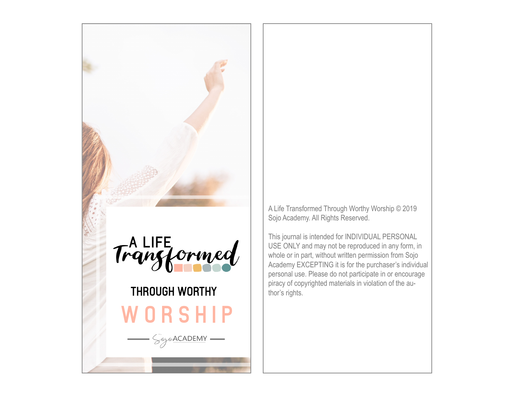



# WORSHIP THROUGH WORTHY

SojoACADEMY-

A Life Transformed Through Worthy Worship © 2019 Sojo Academy. All Rights Reserved.

This journal is intended for INDIVIDUAL PERSONAL USE ONLY and may not be reproduced in any form, in whole or in part, without written permission from Sojo Academy EXCEPTING it is for the purchaser's individual personal use. Please do not participate in or encourage piracy of copyrighted materials in violation of the author's rights.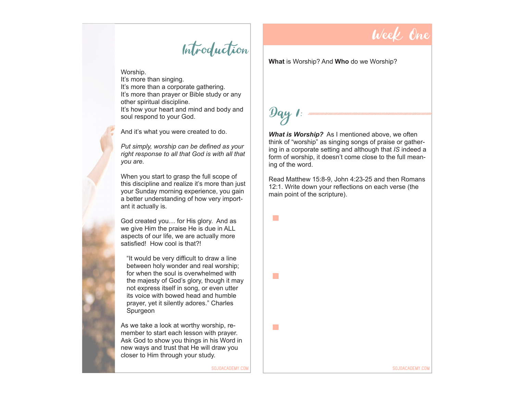#### Introduction

Worship. It's more than singing. It's more than a corporate gathering. It's more than prayer or Bible study or any other spiritual discipline. It's how your heart and mind and body and soul respond to your God.

And it's what you were created to do.

*Put simply, worship can be defined as your right response to all that God is with all that you are.* 

When you start to grasp the full scope of this discipline and realize it's more than just your Sunday morning experience, you gain a better understanding of how very important it actually is.

God created you… for His glory. And as we give Him the praise He is due in ALL aspects of our life, we are actually more satisfied! How cool is that?!

"It would be very difficult to draw a line between holy wonder and real worship; for when the soul is overwhelmed with the majesty of God's glory, though it may not express itself in song, or even utter its voice with bowed head and humble prayer, yet it silently adores." Charles Spurgeon

As we take a look at worthy worship, remember to start each lesson with prayer. Ask God to show you things in his Word in new ways and trust that He will draw you closer to Him through your study.

Week One

**What** is Worship? And **Who** do we Worship?

# $\mathcal{D}$ ay 1:

 $\mathcal{L}^{\text{max}}$ 

a s

 $\sim$ 

*What is Worship?* As I mentioned above, we often think of "worship" as singing songs of praise or gathering in a corporate setting and although that *IS* indeed a form of worship, it doesn't come close to the full meaning of the word.

Read Matthew 15:8-9, John 4:23-25 and then Romans 12:1. Write down your reflections on each verse (the main point of the scripture).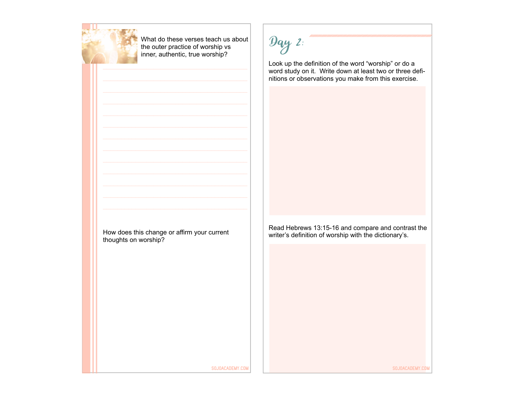

What do these verses teach us about the outer practice of worship vs inner, authentic, true worship?

 $9qy$  2:

Look up the definition of the word "worship" or do a word study on it. Write down at least two or three definitions or observations you make from this exercise.

How does this change or affirm your current thoughts on worship?

Read Hebrews 13:15-16 and compare and contrast the writer's definition of worship with the dictionary's.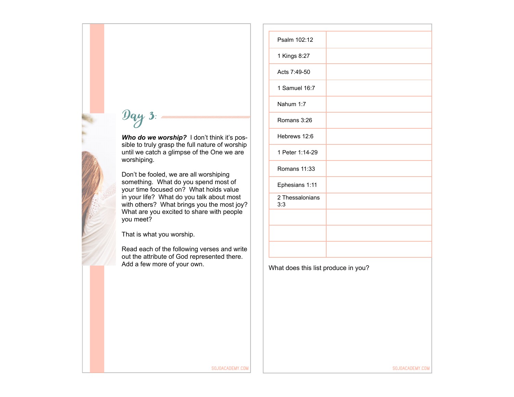# $9q<sub>y</sub>$  3:

*Who do we worship?* I don't think it's possible to truly grasp the full nature of worship until we catch a glimpse of the One we are worshiping.

Don't be fooled, we are all worshiping something. What do you spend most of your time focused on? What holds value in your life? What do you talk about most with others? What brings you the most joy? What are you excited to share with people you meet?

That is what you worship.

Read each of the following verses and write out the attribute of God represented there. Add a few more of your own.

| Psalm 102:12<br>1 Kings 8:27<br>Acts 7:49-50<br>1 Samuel 16:7<br>Nahum 1:7<br>Romans 3:26<br>Hebrews 12:6<br>1 Peter 1:14-29<br>Romans 11:33<br>Ephesians 1:11<br>2 Thessalonians<br>3:3 |  |
|------------------------------------------------------------------------------------------------------------------------------------------------------------------------------------------|--|
|                                                                                                                                                                                          |  |
|                                                                                                                                                                                          |  |
|                                                                                                                                                                                          |  |
|                                                                                                                                                                                          |  |
|                                                                                                                                                                                          |  |
|                                                                                                                                                                                          |  |
|                                                                                                                                                                                          |  |
|                                                                                                                                                                                          |  |
|                                                                                                                                                                                          |  |
|                                                                                                                                                                                          |  |
|                                                                                                                                                                                          |  |
|                                                                                                                                                                                          |  |
|                                                                                                                                                                                          |  |
|                                                                                                                                                                                          |  |
| What does this list produce in you?                                                                                                                                                      |  |
|                                                                                                                                                                                          |  |
|                                                                                                                                                                                          |  |
|                                                                                                                                                                                          |  |
|                                                                                                                                                                                          |  |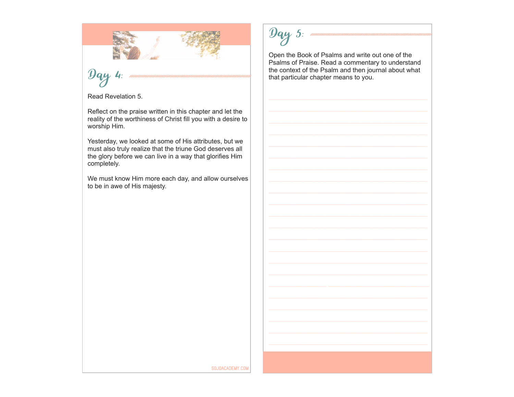

### Day 4:

Read Revelation 5.

Reflect on the praise written in this chapter and let the reality of the worthiness of Christ fill you with a desire to worship Him.

Yesterday, we looked at some of His attributes, but we must also truly realize that the triune God deserves all the glory before we can live in a way that glorifies Him completely.

We must know Him more each day, and allow ourselves to be in awe of His majesty.

### Day 5:

Open the Book of Psalms and write out one of the Psalms of Praise. Read a commentary to understand the context of the Psalm and then journal about what that particular chapter means to you.

SOJOACADEMY.COM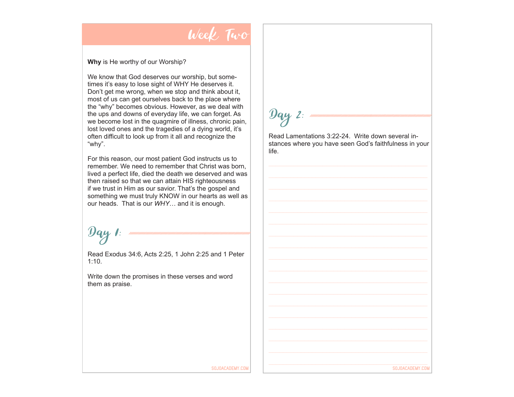#### Week Two

#### **Why** is He worthy of our Worship?

We know that God deserves our worship, but sometimes it's easy to lose sight of WHY He deserves it. Don't get me wrong, when we stop and think about it, most of us can get ourselves back to the place where the "why" becomes obvious. However, as we deal with the ups and downs of everyday life, we can forget. As we become lost in the quagmire of illness, chronic pain, lost loved ones and the tragedies of a dying world, it's often difficult to look up from it all and recognize the "why".

For this reason, our most patient God instructs us to remember. We need to remember that Christ was born, lived a perfect life, died the death we deserved and was then raised so that we can attain HIS righteousness if we trust in Him as our savior. That's the gospel and something we must truly KNOW in our hearts as well as our heads. That is our *WHY*… and it is enough.

#### $|y_{q}y|$

Read Exodus 34:6, Acts 2:25, 1 John 2:25 and 1 Peter 1:10.

Write down the promises in these verses and word them as praise.

## $\mathcal{D}$ ay 2:

Read Lamentations 3:22-24. Write down several instances where you have seen God's faithfulness in your life.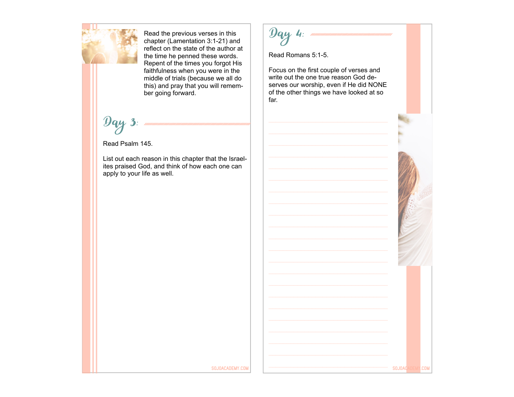

Read the previous verses in this chapter (Lamentation 3:1-21) and reflect on the state of the author at the time he penned these words. Repent of the times you forgot His faithfulness when you were in the middle of trials (because we all do this) and pray that you will remember going forward.

 $\mathcal{D}$ ay 3:

Read Psalm 145.

List out each reason in this chapter that the Israelites praised God, and think of how each one can apply to your life as well.

 $y_{q}$  4:

Read Romans 5:1-5.

Focus on the first couple of verses and write out the one true reason God deserves our worship, even if He did NONE of the other things we have looked at so far.

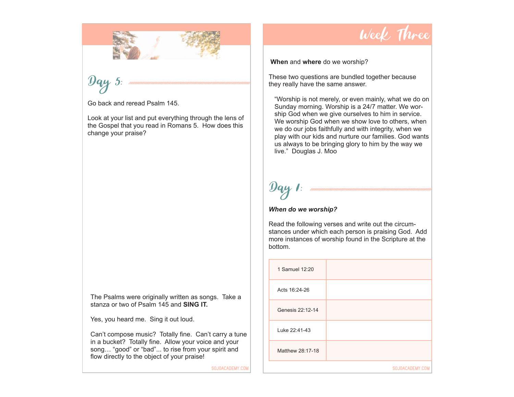

### Day 5:

Go back and reread Psalm 145.

Look at your list and put everything through the lens of the Gospel that you read in Romans 5. How does this change your praise?

The Psalms were originally written as songs. Take a stanza or two of Psalm 145 and **SING IT.**

Yes, you heard me. Sing it out loud.

Can't compose music? Totally fine. Can't carry a tune in a bucket? Totally fine. Allow your voice and your song… "good" or "bad"... to rise from your spirit and flow directly to the object of your praise!

SOJOACADEMY.COM

### Week Three

#### **When** and **where** do we worship?

These two questions are bundled together because they really have the same answer.

"Worship is not merely, or even mainly, what we do on Sunday morning. Worship is a 24/7 matter. We worship God when we give ourselves to him in service. We worship God when we show love to others, when we do our jobs faithfully and with integrity, when we play with our kids and nurture our families. God wants us always to be bringing glory to him by the way we live." Douglas J. Moo

# $\boldsymbol{\mathcal{Y}}$ ay

#### *When do we worship?*

Read the following verses and write out the circumstances under which each person is praising God. Add more instances of worship found in the Scripture at the bottom.

| 1 Samuel 12:20   |                 |
|------------------|-----------------|
| Acts 16:24-26    |                 |
| Genesis 22:12-14 |                 |
| Luke 22:41-43    |                 |
| Matthew 28:17-18 |                 |
|                  | SOJOACADEMY.COM |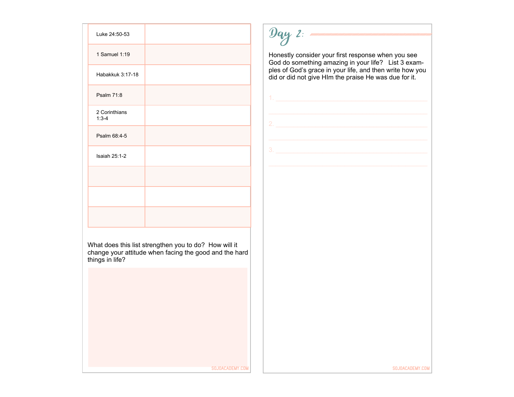| Luke 24:50-53              |  |
|----------------------------|--|
| 1 Samuel 1:19              |  |
| Habakkuk 3:17-18           |  |
| Psalm 71:8                 |  |
| 2 Corinthians<br>$1:3 - 4$ |  |
| Psalm 68:4-5               |  |
| <b>Isaiah 25:1-2</b>       |  |
|                            |  |
|                            |  |
|                            |  |

 $9qy$  2:  $m$ 

Honestly consider your first response when you see God do something amazing in your life? List 3 examples of God's grace in your life, and then write how you did or did not give HIm the praise He was due for it.

1. \_\_\_\_\_\_\_\_\_\_\_\_\_\_\_\_\_\_\_\_\_\_\_\_\_\_\_\_\_\_\_\_\_\_\_\_\_\_\_\_\_\_

What does this list strengthen you to do? How will it change your attitude when facing the good and the hard things in life?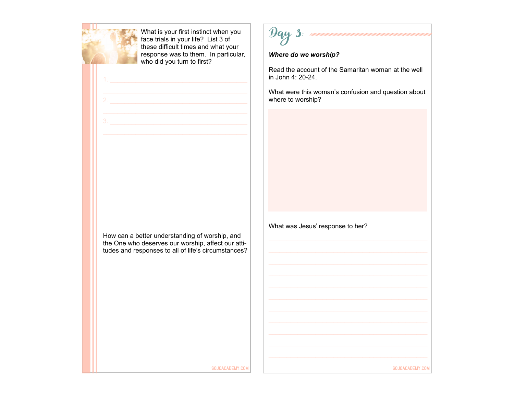

What is your first instinct when you face trials in your life? List 3 of these difficult times and what your response was to them. In particular, who did you turn to first?

1. \_\_\_\_\_\_\_\_\_\_\_\_\_\_\_\_\_\_\_\_\_\_\_\_\_\_\_\_\_\_\_\_\_\_\_\_\_\_



#### *Where do we worship?*

Read the account of the Samaritan woman at the well in John 4: 20-24.

What were this woman's confusion and question about where to worship?

How can a better understanding of worship, and the One who deserves our worship, affect our attitudes and responses to all of life's circumstances? What was Jesus' response to her?

SOJOACADEMY.COM SOJOACADEMY.COM SOJOACADEMY.COM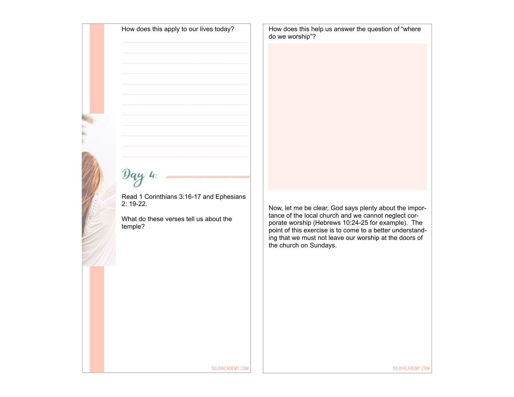How does this apply to our lives today?

How does this help us answer the question of "where do we worship"?

# $\mathcal{D}$ ay 4:

Read 1 Corinthians 3:16-17 and Ephesians 2: 19-22.

What do these verses tell us about the temple?

Now, let me be clear, God says plenty about the importance of the local church and we cannot neglect corporate worship (Hebrews 10:24-25 for example). The point of this exercise is to come to a better understanding that we must not leave our worship at the doors of the church on Sundays.

SOJOACADEMY.COM SOJOACADEMY.COM SOJOACADEMY.COM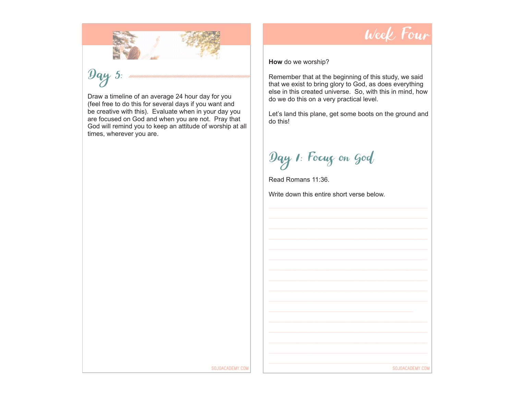

## $\mathcal{Y}_{q}$  5:

Draw a timeline of an average 24 hour day for you (feel free to do this for several days if you want and be creative with this). Evaluate when in your day you are focused on God and when you are not. Pray that God will remind you to keep an attitude of worship at all times, wherever you are.



**How** do we worship?

Remember that at the beginning of this study, we said that we exist to bring glory to God, as does everything else in this created universe. So, with this in mind, how do we do this on a very practical level.

Let's land this plane, get some boots on the ground and do this!

Day 1: Focus on God

Read Romans 11:36.

Write down this entire short verse below.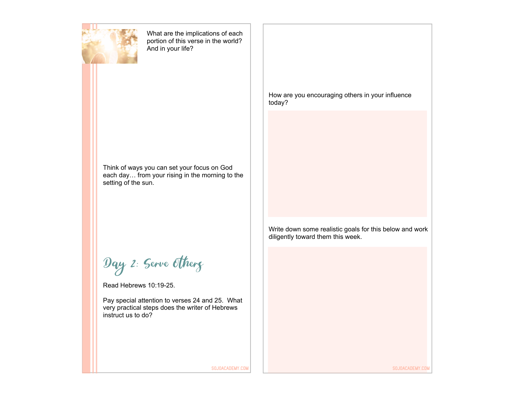

What are the implications of each portion of this verse in the world? And in your life?

Think of ways you can set your focus on God each day… from your rising in the morning to the setting of the sun.

Day 2: Serve Others

Read Hebrews 10:19-25.

Pay special attention to verses 24 and 25. What very practical steps does the writer of Hebrews instruct us to do?

How are you encouraging others in your influence today?

Write down some realistic goals for this below and work diligently toward them this week.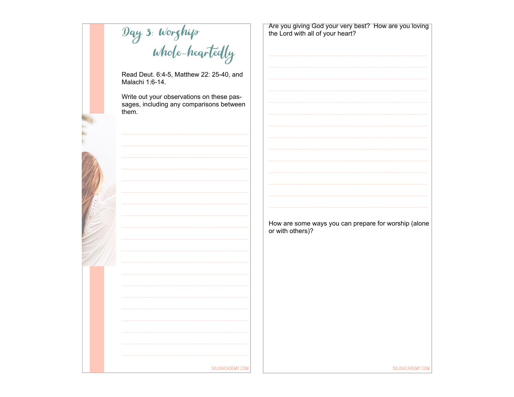Day 3: Worghip<br>Whole-heartedly

Read Deut. 6:4-5, Matthew 22: 25-40, and Malachi 1:6-14.

Write out your observations on these passages, including any comparisons between them.

SOJOACADEMY.COM



Are you giving God your very best? How are you loving the Lord with all of your heart?

How are some ways you can prepare for worship (alone or with others)?

SOJOACADEMY.COM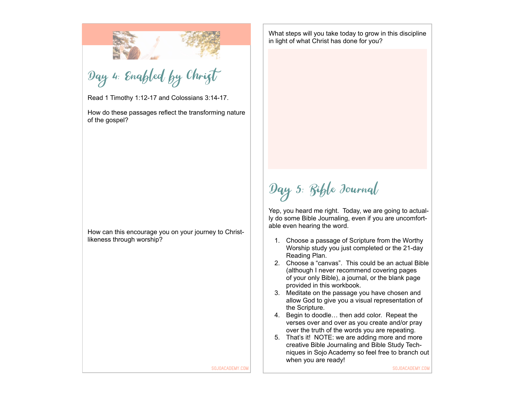Day 4: Enabled by Christ

Read 1 Timothy 1:12-17 and Colossians 3:14-17.

How do these passages reflect the transforming nature of the gospel?

How can this encourage you on your journey to Christlikeness through worship?

What steps will you take today to grow in this discipline in light of what Christ has done for you?

Day 5: Bible Journal

Yep, you heard me right. Today, we are going to actually do some Bible Journaling, even if you are uncomfortable even hearing the word.

- 1. Choose a passage of Scripture from the Worthy Worship study you just completed or the 21-day Reading Plan.
- 2. Choose a "canvas". This could be an actual Bible (although I never recommend covering pages of your only Bible), a journal, or the blank page provided in this workbook.
- 3. Meditate on the passage you have chosen and allow God to give you a visual representation of the Scripture.
- 4. Begin to doodle… then add color. Repeat the verses over and over as you create and/or pray over the truth of the words you are repeating.
- 5. That's it! NOTE: we are adding more and more creative Bible Journaling and Bible Study Techniques in Sojo Academy so feel free to branch out when you are ready!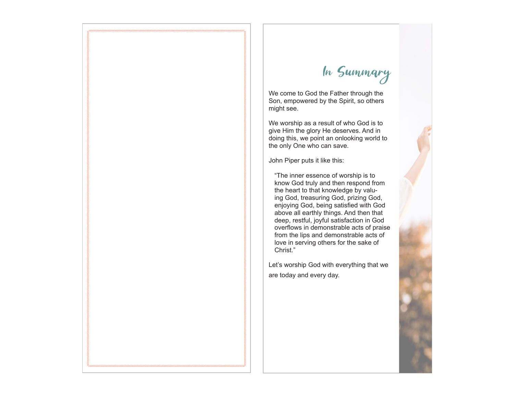#### In Summary

We come to God the Father through the Son, empowered by the Spirit, so others might see.

We worship as a result of who God is to give Him the glory He deserves. And in doing this, we point an onlooking world to the only One who can save.

John Piper puts it like this:

"The inner essence of worship is to know God truly and then respond from the heart to that knowledge by valuing God, treasuring God, prizing God, enjoying God, being satisfied with God above all earthly things. And then that deep, restful, joyful satisfaction in God overflows in demonstrable acts of praise from the lips and demonstrable acts of love in serving others for the sake of Christ."

Let's worship God with everything that we are today and every day.